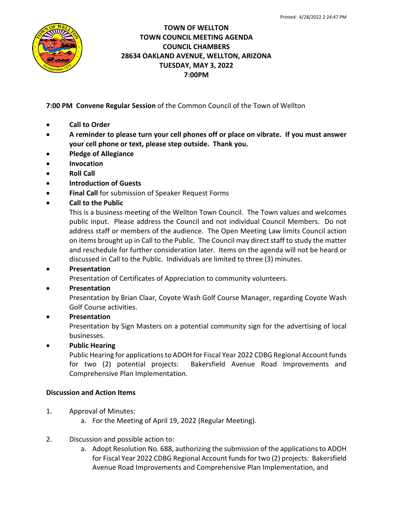

## **TOWN OF WELLTON TOWN COUNCIL MEETING AGENDA COUNCIL CHAMBERS 28634 OAKLAND AVENUE, WELLTON, ARIZONA TUESDAY, MAY 3, 2022 7:00PM**

**7:00 PM Convene Regular Session** of the Common Council of the Town of Wellton

- **Call to Order**
- **A reminder to please turn your cell phones off or place on vibrate. If you must answer your cell phone or text, please step outside. Thank you.**
- **Pledge of Allegiance**
- **Invocation**
- **Roll Call**
- **Introduction of Guests**
- **Final Call** for submission of Speaker Request Forms
- **Call to the Public**

This is a business meeting of the Wellton Town Council. The Town values and welcomes public input. Please address the Council and not individual Council Members. Do not address staff or members of the audience. The Open Meeting Law limits Council action on items brought up in Call to the Public. The Council may direct staff to study the matter and reschedule for further consideration later. Items on the agenda will not be heard or discussed in Call to the Public. Individuals are limited to three (3) minutes.

#### • **Presentation**

Presentation of Certificates of Appreciation to community volunteers.

#### • **Presentation**

Presentation by Brian Claar, Coyote Wash Golf Course Manager, regarding Coyote Wash Golf Course activities.

# • **Presentation**

Presentation by Sign Masters on a potential community sign for the advertising of local businesses.

#### • **Public Hearing**

Public Hearing for applications to ADOH for Fiscal Year 2022 CDBG Regional Account funds for two (2) potential projects: Bakersfield Avenue Road Improvements and Comprehensive Plan Implementation.

#### **Discussion and Action Items**

- 1. Approval of Minutes:
	- a. For the Meeting of April 19, 2022 (Regular Meeting).
- 2. Discussion and possible action to:
	- a. Adopt Resolution No. 688, authorizing the submission of the applications to ADOH for Fiscal Year 2022 CDBG Regional Account funds for two (2) projects: Bakersfield Avenue Road Improvements and Comprehensive Plan Implementation, and